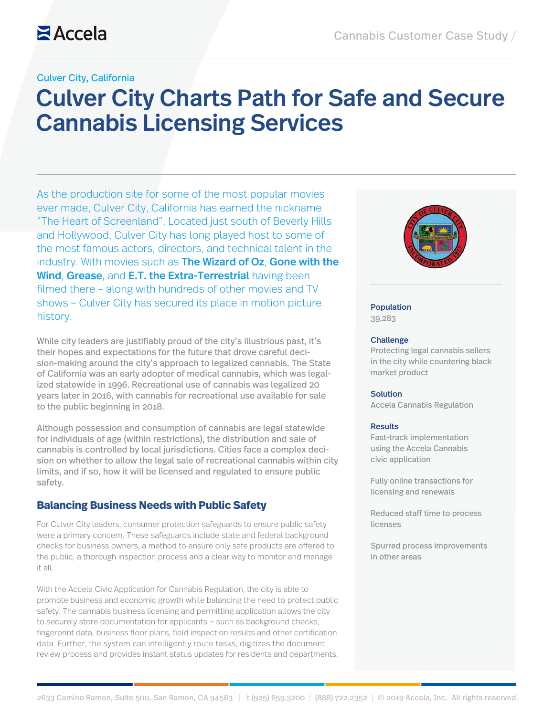#### Culver City, California

# Culver City Charts Path for Safe and Secure Cannabis Licensing Services

As the production site for some of the most popular movies ever made, Culver City, California has earned the nickname "The Heart of Screenland". Located just south of Beverly Hills and Hollywood, Culver City has long played host to some of the most famous actors, directors, and technical talent in the industry. With movies such as The Wizard of Oz, Gone with the Wind, Grease, and E.T. the Extra-Terrestrial having been filmed there – along with hundreds of other movies and TV shows – Culver City has secured its place in motion picture history.

While city leaders are justifiably proud of the city's illustrious past, it's their hopes and expectations for the future that drove careful decision-making around the city's approach to legalized cannabis. The State of California was an early adopter of medical cannabis, which was legalized statewide in 1996. Recreational use of cannabis was legalized 20 years later in 2016, with cannabis for recreational use available for sale to the public beginning in 2018.

Although possession and consumption of cannabis are legal statewide for individuals of age (within restrictions), the distribution and sale of cannabis is controlled by local jurisdictions. Cities face a complex decision on whether to allow the legal sale of recreational cannabis within city limits, and if so, how it will be licensed and regulated to ensure public safety.

#### **Balancing Business Needs with Public Safety**

For Culver City leaders, consumer protection safeguards to ensure public safety were a primary concern. These safeguards include state and federal background checks for business owners, a method to ensure only safe products are offered to the public, a thorough inspection process and a clear way to monitor and manage it all.

With the Accela Civic Application for Cannabis Regulation, the city is able to promote business and economic growth while balancing the need to protect public safety. The cannabis business licensing and permitting application allows the city to securely store documentation for applicants — such as background checks, fingerprint data, business floor plans, field inspection results and other certification data. Further, the system can intelligently route tasks, digitizes the document review process and provides instant status updates for residents and departments.



#### Population

39,283

#### Challenge

Protecting legal cannabis sellers in the city while countering black market product

#### **Solution**

Accela Cannabis Regulation

#### Results

Fast-track implementation using the Accela Cannabis civic application

Fully online transactions for licensing and renewals

Reduced staff time to process licenses

Spurred process improvements in other areas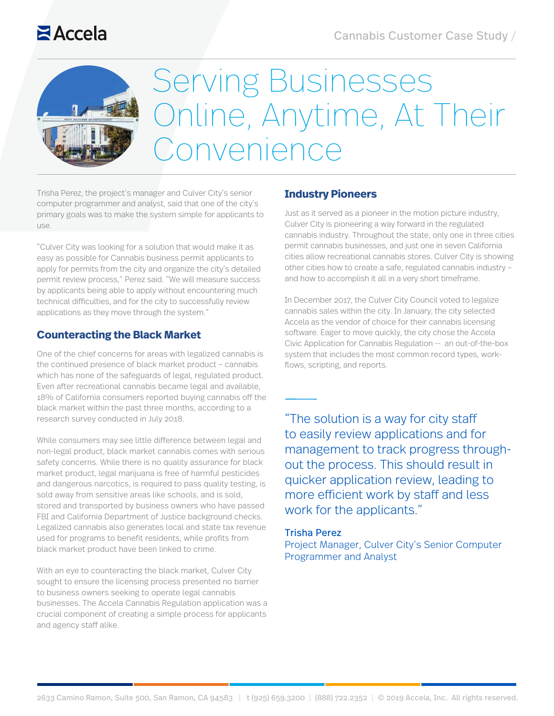# **Z**Accela



# Serving Businesses Online, Anytime, At Their Convenience

Trisha Perez, the project's manager and Culver City's senior computer programmer and analyst, said that one of the city's primary goals was to make the system simple for applicants to use.

"Culver City was looking for a solution that would make it as easy as possible for Cannabis business permit applicants to apply for permits from the city and organize the city's detailed permit review process," Perez said. "We will measure success by applicants being able to apply without encountering much technical difficulties, and for the city to successfully review applications as they move through the system."

### **Counteracting the Black Market**

One of the chief concerns for areas with legalized cannabis is the continued presence of black market product – cannabis which has none of the safeguards of legal, regulated product. Even after recreational cannabis became legal and available, 18% of California consumers reported buying cannabis off the black market within the past three months, according to a research survey conducted in July 2018.

While consumers may see little difference between legal and non-legal product, black market cannabis comes with serious safety concerns. While there is no quality assurance for black market product, legal marijuana is free of harmful pesticides and dangerous narcotics, is required to pass quality testing, is sold away from sensitive areas like schools, and is sold, stored and transported by business owners who have passed FBI and California Department of Justice background checks. Legalized cannabis also generates local and state tax revenue used for programs to benefit residents, while profits from black market product have been linked to crime.

With an eye to counteracting the black market, Culver City sought to ensure the licensing process presented no barrier to business owners seeking to operate legal cannabis businesses. The Accela Cannabis Regulation application was a crucial component of creating a simple process for applicants and agency staff alike.

### **Industry Pioneers**

Just as it served as a pioneer in the motion picture industry, Culver City is pioneering a way forward in the regulated cannabis industry. Throughout the state, only one in three cities permit cannabis businesses, and just one in seven California cities allow recreational cannabis stores. Culver City is showing other cities how to create a safe, regulated cannabis industry – and how to accomplish it all in a very short timeframe.

In December 2017, the Culver City Council voted to legalize cannabis sales within the city. In January, the city selected Accela as the vendor of choice for their cannabis licensing software. Eager to move quickly, the city chose the Accela Civic Application for Cannabis Regulation -- an out-of-the-box system that includes the most common record types, workflows, scripting, and reports.

"The solution is a way for city staff to easily review applications and for management to track progress throughout the process. This should result in quicker application review, leading to more efficient work by staff and less work for the applicants."

#### Trisha Perez

Project Manager, Culver City's Senior Computer Programmer and Analyst